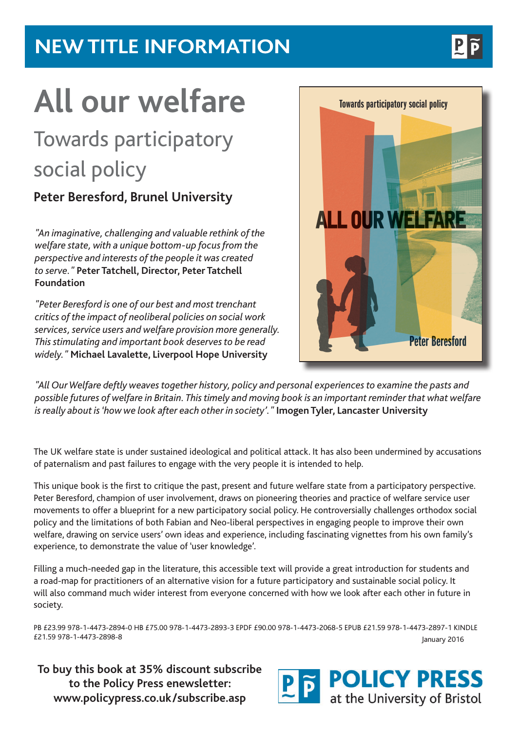### **NEW TITLE INFORMATION**

# **All our welfare**

## Towards participatory social policy

#### **Peter Beresford, Brunel University**

*"An imaginative, challenging and valuable rethink of the welfare state, with a unique bottom-up focus from the perspective and interests of the people it was created to serve."* **Peter Tatchell, Director, Peter Tatchell Foundation**

*"Peter Beresford is one of our best and most trenchant critics of the impact of neoliberal policies on social work services, service users and welfare provision more generally. This stimulating and important book deserves to be read widely."* **Michael Lavalette, Liverpool Hope University**

*"All Our Welfare deftly weaves together history, policy and personal experiences to examine the pasts and possible futures of welfare in Britain. This timely and moving book is an important reminder that what welfare is really about is 'how we look after each other in society'."* **Imogen Tyler, Lancaster University**

The UK welfare state is under sustained ideological and political attack. It has also been undermined by accusations of paternalism and past failures to engage with the very people it is intended to help.

This unique book is the first to critique the past, present and future welfare state from a participatory perspective. Peter Beresford, champion of user involvement, draws on pioneering theories and practice of welfare service user movements to offer a blueprint for a new participatory social policy. He controversially challenges orthodox social policy and the limitations of both Fabian and Neo-liberal perspectives in engaging people to improve their own welfare, drawing on service users' own ideas and experience, including fascinating vignettes from his own family's experience, to demonstrate the value of 'user knowledge'.

Filling a much-needed gap in the literature, this accessible text will provide a great introduction for students and a road-map for practitioners of an alternative vision for a future participatory and sustainable social policy. It will also command much wider interest from everyone concerned with how we look after each other in future in society.

PB £23.99 978-1-4473-2894-0 HB £75.00 978-1-4473-2893-3 EPDF £90.00 978-1-4473-2068-5 EPUB £21.59 978-1-4473-2897-1 KINDLE £21.59 978-1-4473-2898-8 January 2016

**To buy this book at 35% discount subscribe to the Policy Press enewsletter: www.policypress.co.uk/subscribe.asp**